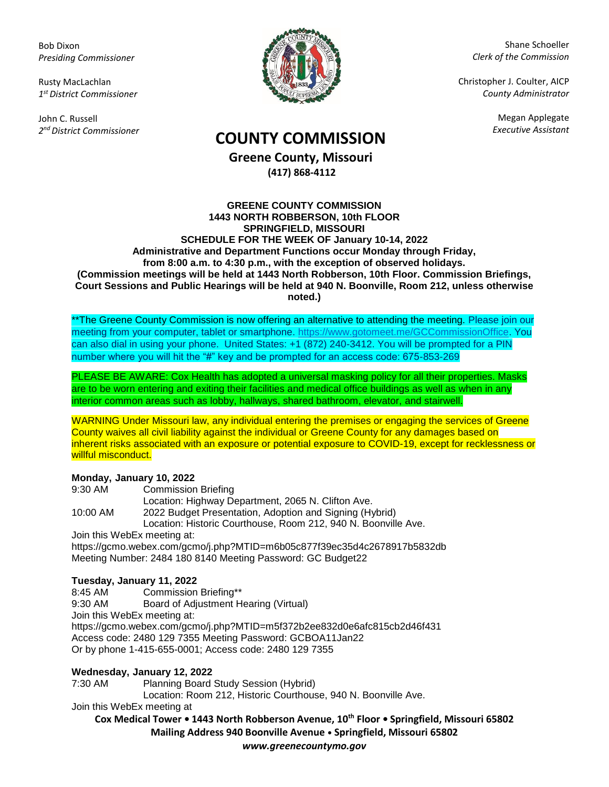Bob Dixon *Presiding Commissioner*

Rusty MacLachlan *1 st District Commissioner*

John C. Russell *2 nd District Commissioner*



Shane Schoeller *Clerk of the Commission*

Christopher J. Coulter, AICP *County Administrator*

Megan Applegate

# *Executive Assistant* **COUNTY COMMISSION**

**Greene County, Missouri (417) 868-4112**

#### **GREENE COUNTY COMMISSION 1443 NORTH ROBBERSON, 10th FLOOR SPRINGFIELD, MISSOURI SCHEDULE FOR THE WEEK OF January 10-14, 2022 Administrative and Department Functions occur Monday through Friday, from 8:00 a.m. to 4:30 p.m., with the exception of observed holidays. (Commission meetings will be held at 1443 North Robberson, 10th Floor. Commission Briefings, Court Sessions and Public Hearings will be held at 940 N. Boonville, Room 212, unless otherwise noted.)**

\*\*The Greene County Commission is now offering an alternative to attending the meeting. Please join our meeting from your computer, tablet or smartphone. [https://www.gotomeet.me/GCCommissionOffice.](https://www.gotomeet.me/GCCommissionOffice) You can also dial in using your phone. United States: +1 (872) 240-3412. You will be prompted for a PIN number where you will hit the "#" key and be prompted for an access code: 675-853-269

PLEASE BE AWARE: Cox Health has adopted a universal masking policy for all their properties. Masks are to be worn entering and exiting their facilities and medical office buildings as well as when in any interior common areas such as lobby, hallways, shared bathroom, elevator, and stairwell.

WARNING Under Missouri law, any individual entering the premises or engaging the services of Greene County waives all civil liability against the individual or Greene County for any damages based on inherent risks associated with an exposure or potential exposure to COVID-19, except for recklessness or willful misconduct.

### **Monday, January 10, 2022**

| 9:30 AM  | <b>Commission Briefing</b>                                     |
|----------|----------------------------------------------------------------|
|          | Location: Highway Department, 2065 N. Clifton Ave.             |
| 10:00 AM | 2022 Budget Presentation, Adoption and Signing (Hybrid)        |
|          | Location: Historic Courthouse, Room 212, 940 N. Boonville Ave. |
|          |                                                                |

Join this WebEx meeting at:

https://gcmo.webex.com/gcmo/j.php?MTID=m6b05c877f39ec35d4c2678917b5832db Meeting Number: 2484 180 8140 Meeting Password: GC Budget22

## **Tuesday, January 11, 2022**

8:45 AM Commission Briefing\*\*

9:30 AM Board of Adjustment Hearing (Virtual) Join this WebEx meeting at: https://gcmo.webex.com/gcmo/j.php?MTID=m5f372b2ee832d0e6afc815cb2d46f431 Access code: 2480 129 7355 Meeting Password: GCBOA11Jan22 Or by phone 1-415-655-0001; Access code: 2480 129 7355

## **Wednesday, January 12, 2022**

7:30 AM Planning Board Study Session (Hybrid)

Location: Room 212, Historic Courthouse, 940 N. Boonville Ave.

Join this WebEx meeting at

**Cox Medical Tower • 1443 North Robberson Avenue, 10th Floor • Springfield, Missouri 65802 Mailing Address 940 Boonville Avenue • Springfield, Missouri 65802**

*www.greenecountymo.gov*